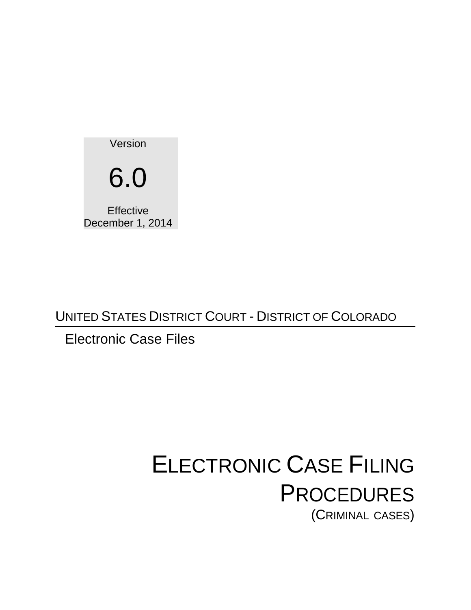Version 6.0 **Effective** December 1, 2014

UNITED STATES DISTRICT COURT - DISTRICT OF COLORADO

# Electronic Case Files

# ELECTRONIC CASE FILING **PROCEDURES** (CRIMINAL CASES)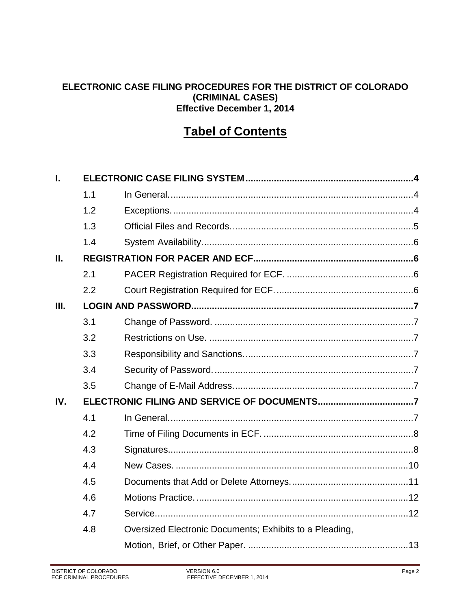#### **ELECTRONIC CASE FILING PROCEDURES FOR THE DISTRICT OF COLORADO (CRIMINAL CASES) Effective December 1, 2014**

# **Tabel of Contents**

| L.   |     |                                                         |  |  |  |
|------|-----|---------------------------------------------------------|--|--|--|
|      | 1.1 |                                                         |  |  |  |
|      | 1.2 |                                                         |  |  |  |
|      | 1.3 |                                                         |  |  |  |
|      | 1.4 |                                                         |  |  |  |
| П.   |     |                                                         |  |  |  |
|      | 2.1 |                                                         |  |  |  |
|      | 2.2 |                                                         |  |  |  |
| III. |     |                                                         |  |  |  |
|      | 3.1 |                                                         |  |  |  |
|      | 3.2 |                                                         |  |  |  |
|      | 3.3 |                                                         |  |  |  |
|      | 3.4 |                                                         |  |  |  |
|      | 3.5 |                                                         |  |  |  |
| IV.  |     |                                                         |  |  |  |
|      | 4.1 |                                                         |  |  |  |
|      | 4.2 |                                                         |  |  |  |
|      | 4.3 |                                                         |  |  |  |
|      | 4.4 |                                                         |  |  |  |
|      | 4.5 |                                                         |  |  |  |
|      | 4.6 |                                                         |  |  |  |
|      | 4.7 |                                                         |  |  |  |
|      | 4.8 | Oversized Electronic Documents; Exhibits to a Pleading, |  |  |  |
|      |     |                                                         |  |  |  |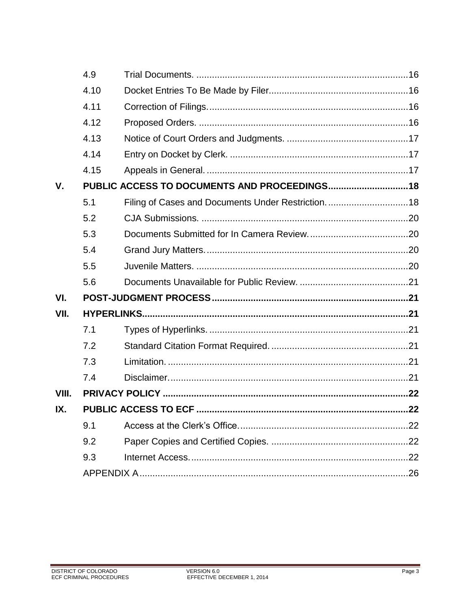|       | 4.9                                           |  |  |  |
|-------|-----------------------------------------------|--|--|--|
|       | 4.10                                          |  |  |  |
|       | 4.11                                          |  |  |  |
|       | 4.12                                          |  |  |  |
|       | 4.13                                          |  |  |  |
|       | 4.14                                          |  |  |  |
|       | 4.15                                          |  |  |  |
| V.    | PUBLIC ACCESS TO DOCUMENTS AND PROCEEDINGS 18 |  |  |  |
|       | 5.1                                           |  |  |  |
|       | 5.2                                           |  |  |  |
|       | 5.3                                           |  |  |  |
|       | 5.4                                           |  |  |  |
|       | 5.5                                           |  |  |  |
|       | 5.6                                           |  |  |  |
| VI.   |                                               |  |  |  |
| VII.  |                                               |  |  |  |
|       | 7.1                                           |  |  |  |
|       | 7.2                                           |  |  |  |
|       | 7.3                                           |  |  |  |
|       | 7.4                                           |  |  |  |
| VIII. |                                               |  |  |  |
| IX.   |                                               |  |  |  |
|       | 9.1                                           |  |  |  |
|       | 9.2                                           |  |  |  |
|       | 9.3                                           |  |  |  |
|       |                                               |  |  |  |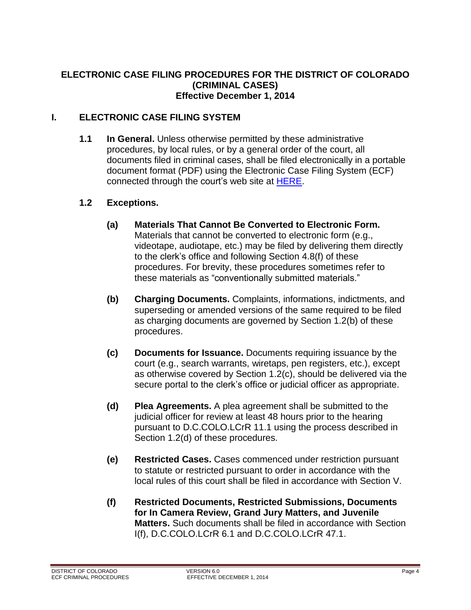#### **ELECTRONIC CASE FILING PROCEDURES FOR THE DISTRICT OF COLORADO (CRIMINAL CASES) Effective December 1, 2014**

#### <span id="page-3-1"></span><span id="page-3-0"></span>**I. ELECTRONIC CASE FILING SYSTEM**

**1.1 In General.** Unless otherwise permitted by these administrative procedures, by local rules, or by a general order of the court, all documents filed in criminal cases, shall be filed electronically in a portable document format (PDF) using the Electronic Case Filing System (ECF) connected through the court's web site at [HERE.](https://ecf.cod.circ10.dcn/cgi-bin/ShowIndex.pl)

#### <span id="page-3-2"></span>**1.2 Exceptions.**

- **(a) Materials That Cannot Be Converted to Electronic Form.**  Materials that cannot be converted to electronic form (e.g., videotape, audiotape, etc.) may be filed by delivering them directly to the clerk's office and following Section 4.8(f) of these procedures. For brevity, these procedures sometimes refer to these materials as "conventionally submitted materials."
- **(b) Charging Documents.** Complaints, informations, indictments, and superseding or amended versions of the same required to be filed as charging documents are governed by Section 1.2(b) of these procedures.
- **(c) Documents for Issuance.** Documents requiring issuance by the court (e.g., search warrants, wiretaps, pen registers, etc.), except as otherwise covered by Section 1.2(c), should be delivered via the secure portal to the clerk's office or judicial officer as appropriate.
- **(d) Plea Agreements.** A plea agreement shall be submitted to the judicial officer for review at least 48 hours prior to the hearing pursuant to D.C.COLO.LCrR 11.1 using the process described in Section 1.2(d) of these procedures.
- **(e) Restricted Cases.** Cases commenced under restriction pursuant to statute or restricted pursuant to order in accordance with the local rules of this court shall be filed in accordance with Section V.
- **(f) Restricted Documents, Restricted Submissions, Documents for In Camera Review, Grand Jury Matters, and Juvenile Matters.** Such documents shall be filed in accordance with Section I(f), D.C.COLO.LCrR 6.1 and D.C.COLO.LCrR 47.1.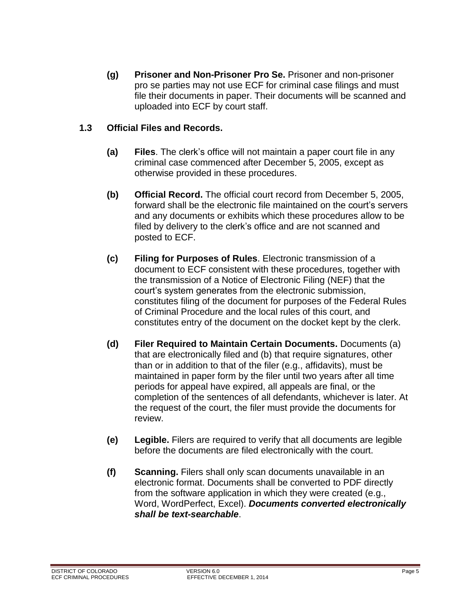**(g) Prisoner and Non-Prisoner Pro Se.** Prisoner and non-prisoner pro se parties may not use ECF for criminal case filings and must file their documents in paper. Their documents will be scanned and uploaded into ECF by court staff.

#### <span id="page-4-0"></span>**1.3 Official Files and Records.**

- **(a) Files**. The clerk's office will not maintain a paper court file in any criminal case commenced after December 5, 2005, except as otherwise provided in these procedures.
- **(b) Official Record.** The official court record from December 5, 2005, forward shall be the electronic file maintained on the court's servers and any documents or exhibits which these procedures allow to be filed by delivery to the clerk's office and are not scanned and posted to ECF.
- **(c) Filing for Purposes of Rules**. Electronic transmission of a document to ECF consistent with these procedures, together with the transmission of a Notice of Electronic Filing (NEF) that the court's system generates from the electronic submission, constitutes filing of the document for purposes of the Federal Rules of Criminal Procedure and the local rules of this court, and constitutes entry of the document on the docket kept by the clerk.
- **(d) Filer Required to Maintain Certain Documents.** Documents (a) that are electronically filed and (b) that require signatures, other than or in addition to that of the filer (e.g., affidavits), must be maintained in paper form by the filer until two years after all time periods for appeal have expired, all appeals are final, or the completion of the sentences of all defendants, whichever is later. At the request of the court, the filer must provide the documents for review.
- **(e) Legible.** Filers are required to verify that all documents are legible before the documents are filed electronically with the court.
- **(f) Scanning.** Filers shall only scan documents unavailable in an electronic format. Documents shall be converted to PDF directly from the software application in which they were created (e.g., Word, WordPerfect, Excel). *Documents converted electronically shall be text-searchable*.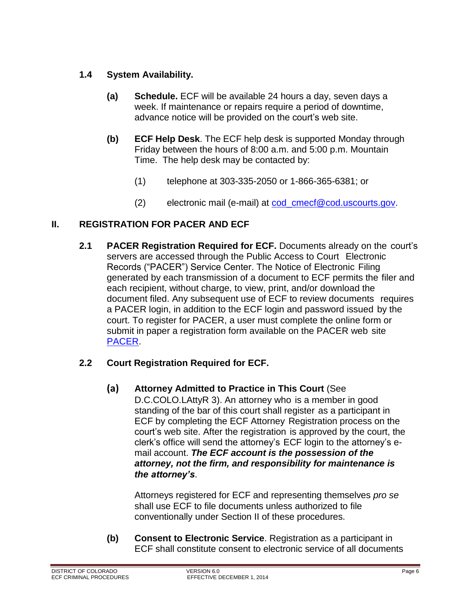#### <span id="page-5-0"></span>**1.4 System Availability.**

- **(a) Schedule.** ECF will be available 24 hours a day, seven days a week. If maintenance or repairs require a period of downtime, advance notice will be provided on the court's web site.
- **(b) ECF Help Desk**. The ECF help desk is supported Monday through Friday between the hours of 8:00 a.m. and 5:00 p.m. Mountain Time. The help desk may be contacted by:
	- (1) telephone at 303-335-2050 or 1-866-365-6381; or
	- (2) electronic mail (e-mail) at [cod\\_cmecf@cod.uscourts.gov.](mailto:cod_cmecf@cod.uscourts.gov)

### <span id="page-5-2"></span><span id="page-5-1"></span>**II. REGISTRATION FOR PACER AND ECF**

**2.1 PACER Registration Required for ECF.** Documents already on the court's servers are accessed through the Public Access to Court Electronic Records ("PACER") Service Center. The Notice of Electronic Filing generated by each transmission of a document to ECF permits the filer and each recipient, without charge, to view, print, and/or download the document filed. Any subsequent use of ECF to review documents requires a PACER login, in addition to the ECF login and password issued by the court. To register for PACER, a user must complete the online form or submit in paper a registration form available on the PACER web site [PACER.](https://www.pacer.gov/)

#### <span id="page-5-3"></span>**2.2 Court Registration Required for ECF.**

**(a) Attorney Admitted to Practice in This Court** (See D.C.COLO.LAttyR 3). An attorney who is a member in good standing of the bar of this court shall register as a participant in ECF by completing the ECF Attorney Registration process on the court's web site. After the registration is approved by the court, the clerk's office will send the attorney's ECF login to the attorney's email account. *The ECF account is the possession of the attorney, not the firm, and responsibility for maintenance is the attorney's*.

Attorneys registered for ECF and representing themselves *pro se* shall use ECF to file documents unless authorized to file conventionally under Section II of these procedures.

**(b) Consent to Electronic Service**. Registration as a participant in ECF shall constitute consent to electronic service of all documents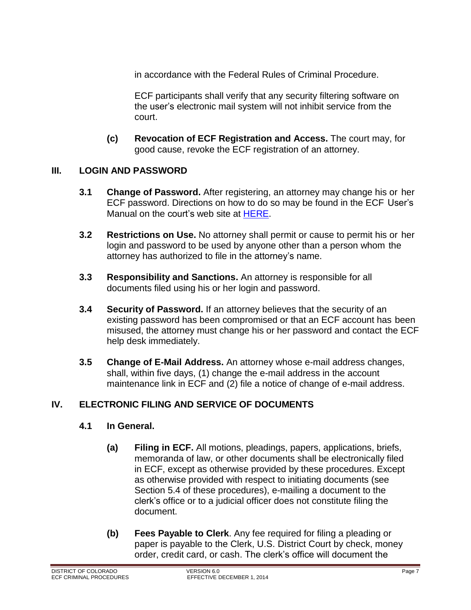in accordance with the Federal Rules of Criminal Procedure.

ECF participants shall verify that any security filtering software on the user's electronic mail system will not inhibit service from the court.

**(c) Revocation of ECF Registration and Access.** The court may, for good cause, revoke the ECF registration of an attorney.

#### <span id="page-6-1"></span><span id="page-6-0"></span>**III. LOGIN AND PASSWORD**

- **3.1 Change of Password.** After registering, an attorney may change his or her ECF password. Directions on how to do so may be found in the ECF User's Manual on the court's web site at [HERE.](http://www.cod.uscourts.gov/CourtOperations/CMECF.aspx)
- <span id="page-6-2"></span>**3.2 Restrictions on Use.** No attorney shall permit or cause to permit his or her login and password to be used by anyone other than a person whom the attorney has authorized to file in the attorney's name.
- <span id="page-6-3"></span>**3.3 Responsibility and Sanctions.** An attorney is responsible for all documents filed using his or her login and password.
- <span id="page-6-4"></span>**3.4 Security of Password.** If an attorney believes that the security of an existing password has been compromised or that an ECF account has been misused, the attorney must change his or her password and contact the ECF help desk immediately.
- <span id="page-6-5"></span>**3.5 Change of E-Mail Address.** An attorney whose e-mail address changes, shall, within five days, (1) change the e-mail address in the account maintenance link in ECF and (2) file a notice of change of e-mail address.

#### <span id="page-6-7"></span><span id="page-6-6"></span>**IV. ELECTRONIC FILING AND SERVICE OF DOCUMENTS**

#### **4.1 In General.**

- **(a) Filing in ECF.** All motions, pleadings, papers, applications, briefs, memoranda of law, or other documents shall be electronically filed in ECF, except as otherwise provided by these procedures. Except as otherwise provided with respect to initiating documents (see Section 5.4 of these procedures), e-mailing a document to the clerk's office or to a judicial officer does not constitute filing the document.
- **(b) Fees Payable to Clerk**. Any fee required for filing a pleading or paper is payable to the Clerk, U.S. District Court by check, money order, credit card, or cash. The clerk's office will document the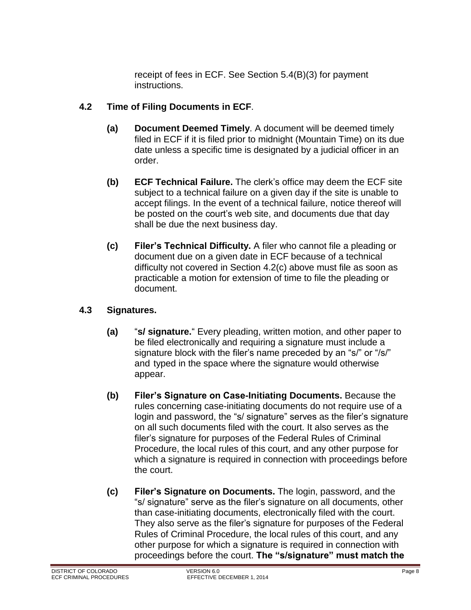receipt of fees in ECF. See Section 5.4(B)(3) for payment instructions.

#### <span id="page-7-0"></span>**4.2 Time of Filing Documents in ECF**.

- **(a) Document Deemed Timely**. A document will be deemed timely filed in ECF if it is filed prior to midnight (Mountain Time) on its due date unless a specific time is designated by a judicial officer in an order.
- **(b) ECF Technical Failure.** The clerk's office may deem the ECF site subject to a technical failure on a given day if the site is unable to accept filings. In the event of a technical failure, notice thereof will be posted on the court's web site, and documents due that day shall be due the next business day.
- **(c) Filer's Technical Difficulty.** A filer who cannot file a pleading or document due on a given date in ECF because of a technical difficulty not covered in Section 4.2(c) above must file as soon as practicable a motion for extension of time to file the pleading or document.

#### <span id="page-7-1"></span>**4.3 Signatures.**

- **(a)** "**s/ signature.**" Every pleading, written motion, and other paper to be filed electronically and requiring a signature must include a signature block with the filer's name preceded by an "s/" or "/s/" and typed in the space where the signature would otherwise appear.
- **(b) Filer's Signature on Case-Initiating Documents.** Because the rules concerning case-initiating documents do not require use of a login and password, the "s/ signature" serves as the filer's signature on all such documents filed with the court. It also serves as the filer's signature for purposes of the Federal Rules of Criminal Procedure, the local rules of this court, and any other purpose for which a signature is required in connection with proceedings before the court.
- **(c) Filer's Signature on Documents.** The login, password, and the "s/ signature" serve as the filer's signature on all documents, other than case-initiating documents, electronically filed with the court. They also serve as the filer's signature for purposes of the Federal Rules of Criminal Procedure, the local rules of this court, and any other purpose for which a signature is required in connection with proceedings before the court. **The "s/signature" must match the**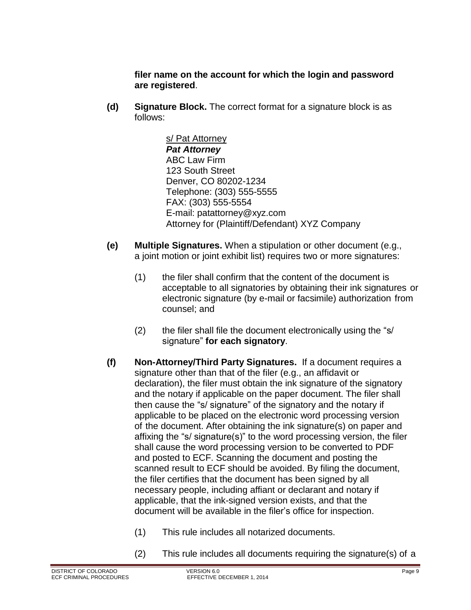**filer name on the account for which the login and password are registered**.

**(d) Signature Block.** The correct format for a signature block is as follows:

> s/ Pat Attorney *Pat Attorney* ABC Law Firm 123 South Street Denver, CO 80202-1234 Telephone: (303) 555-5555 FAX: (303) 555-5554 E-mail: [patattorney@xyz.com](mailto:patattorney@xyz.com) Attorney for (Plaintiff/Defendant) XYZ Company

- **(e) Multiple Signatures.** When a stipulation or other document (e.g., a joint motion or joint exhibit list) requires two or more signatures:
	- (1) the filer shall confirm that the content of the document is acceptable to all signatories by obtaining their ink signatures or electronic signature (by e-mail or facsimile) authorization from counsel; and
	- (2) the filer shall file the document electronically using the "s/ signature" **for each signatory**.
- **(f) Non-Attorney/Third Party Signatures.** If a document requires a signature other than that of the filer (e.g., an affidavit or declaration), the filer must obtain the ink signature of the signatory and the notary if applicable on the paper document. The filer shall then cause the "s/ signature" of the signatory and the notary if applicable to be placed on the electronic word processing version of the document. After obtaining the ink signature(s) on paper and affixing the "s/ signature(s)" to the word processing version, the filer shall cause the word processing version to be converted to PDF and posted to ECF. Scanning the document and posting the scanned result to ECF should be avoided. By filing the document, the filer certifies that the document has been signed by all necessary people, including affiant or declarant and notary if applicable, that the ink-signed version exists, and that the document will be available in the filer's office for inspection.
	- (1) This rule includes all notarized documents.
	- (2) This rule includes all documents requiring the signature(s) of a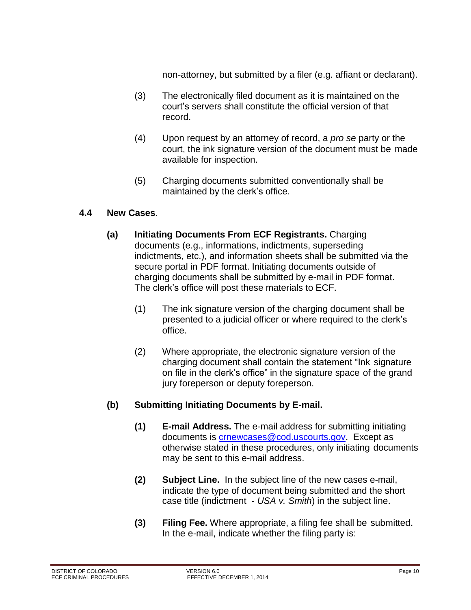non-attorney, but submitted by a filer (e.g. affiant or declarant).

- (3) The electronically filed document as it is maintained on the court's servers shall constitute the official version of that record.
- (4) Upon request by an attorney of record, a *pro se* party or the court, the ink signature version of the document must be made available for inspection.
- (5) Charging documents submitted conventionally shall be maintained by the clerk's office.

#### <span id="page-9-0"></span>**4.4 New Cases**.

- **(a) Initiating Documents From ECF Registrants.** Charging documents (e.g., informations, indictments, superseding indictments, etc.), and information sheets shall be submitted via the secure portal in PDF format. Initiating documents outside of charging documents shall be submitted by e-mail in PDF format. The clerk's office will post these materials to ECF.
	- (1) The ink signature version of the charging document shall be presented to a judicial officer or where required to the clerk's office.
	- (2) Where appropriate, the electronic signature version of the charging document shall contain the statement "Ink signature on file in the clerk's office" in the signature space of the grand jury foreperson or deputy foreperson.

#### **(b) Submitting Initiating Documents by E-mail.**

- **(1) E-mail Address.** The e-mail address for submitting initiating documents is [crnewcases@cod.uscourts.gov.](mailto:crnewcases@cod.uscourts.gov) Except as otherwise stated in these procedures, only initiating documents may be sent to this e-mail address.
- **(2) Subject Line.** In the subject line of the new cases e-mail, indicate the type of document being submitted and the short case title (indictment - *USA v. Smith*) in the subject line.
- **(3) Filing Fee.** Where appropriate, a filing fee shall be submitted. In the e-mail, indicate whether the filing party is: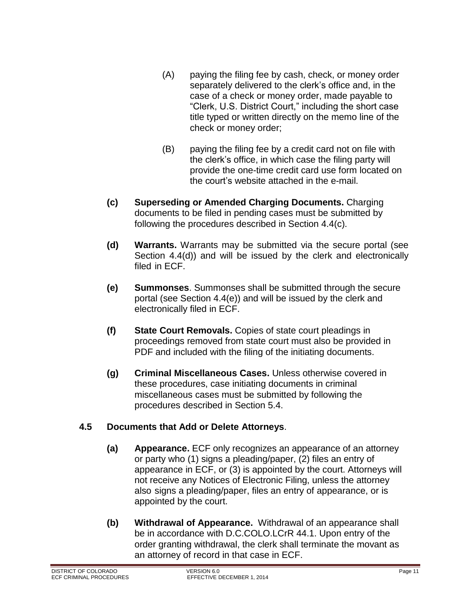- (A) paying the filing fee by cash, check, or money order separately delivered to the clerk's office and, in the case of a check or money order, made payable to "Clerk, U.S. District Court," including the short case title typed or written directly on the memo line of the check or money order;
- (B) paying the filing fee by a credit card not on file with the clerk's office, in which case the filing party will provide the one-time credit card use form located on the court's website attached in the e-mail.
- **(c) Superseding or Amended Charging Documents.** Charging documents to be filed in pending cases must be submitted by following the procedures described in Section 4.4(c).
- **(d) Warrants.** Warrants may be submitted via the secure portal (see Section 4.4(d)) and will be issued by the clerk and electronically filed in ECF.
- **(e) Summonses**. Summonses shall be submitted through the secure portal (see Section 4.4(e)) and will be issued by the clerk and electronically filed in ECF.
- **(f) State Court Removals.** Copies of state court pleadings in proceedings removed from state court must also be provided in PDF and included with the filing of the initiating documents.
- **(g) Criminal Miscellaneous Cases.** Unless otherwise covered in these procedures, case initiating documents in criminal miscellaneous cases must be submitted by following the procedures described in Section 5.4.

#### <span id="page-10-0"></span>**4.5 Documents that Add or Delete Attorneys**.

- **(a) Appearance.** ECF only recognizes an appearance of an attorney or party who (1) signs a pleading/paper, (2) files an entry of appearance in ECF, or (3) is appointed by the court. Attorneys will not receive any Notices of Electronic Filing, unless the attorney also signs a pleading/paper, files an entry of appearance, or is appointed by the court.
- **(b) Withdrawal of Appearance.** Withdrawal of an appearance shall be in accordance with D.C.COLO.LCrR 44.1. Upon entry of the order granting withdrawal, the clerk shall terminate the movant as an attorney of record in that case in ECF.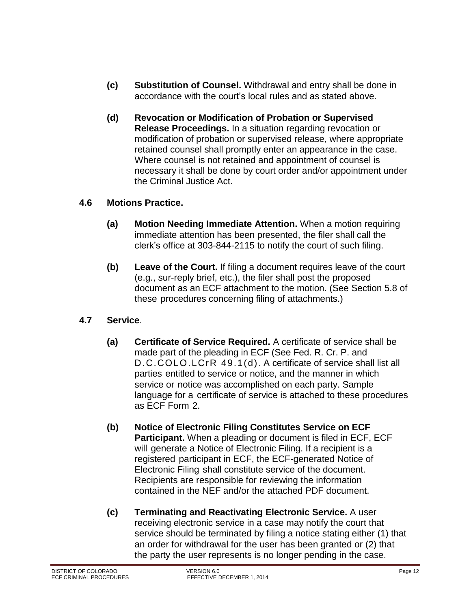- **(c) Substitution of Counsel.** Withdrawal and entry shall be done in accordance with the court's local rules and as stated above.
- **(d) Revocation or Modification of Probation or Supervised Release Proceedings.** In a situation regarding revocation or modification of probation or supervised release, where appropriate retained counsel shall promptly enter an appearance in the case. Where counsel is not retained and appointment of counsel is necessary it shall be done by court order and/or appointment under the Criminal Justice Act.

#### <span id="page-11-0"></span>**4.6 Motions Practice.**

- **(a) Motion Needing Immediate Attention.** When a motion requiring immediate attention has been presented, the filer shall call the clerk's office at 303-844-2115 to notify the court of such filing.
- **(b) Leave of the Court.** If filing a document requires leave of the court (e.g., sur-reply brief, etc.), the filer shall post the proposed document as an ECF attachment to the motion. (See Section 5.8 of these procedures concerning filing of attachments.)

#### <span id="page-11-1"></span>**4.7 Service**.

- **(a) Certificate of Service Required.** A certificate of service shall be made part of the pleading in ECF (See Fed. R. Cr. P. and D.C.COLO.LCrR 49.1(d). A certificate of service shall list all parties entitled to service or notice, and the manner in which service or notice was accomplished on each party. Sample language for a certificate of service is attached to these procedures as ECF Form 2.
- **(b) Notice of Electronic Filing Constitutes Service on ECF Participant.** When a pleading or document is filed in ECF, ECF will generate a Notice of Electronic Filing. If a recipient is a registered participant in ECF, the ECF-generated Notice of Electronic Filing shall constitute service of the document. Recipients are responsible for reviewing the information contained in the NEF and/or the attached PDF document.
- **(c) Terminating and Reactivating Electronic Service.** A user receiving electronic service in a case may notify the court that service should be terminated by filing a notice stating either (1) that an order for withdrawal for the user has been granted or (2) that the party the user represents is no longer pending in the case.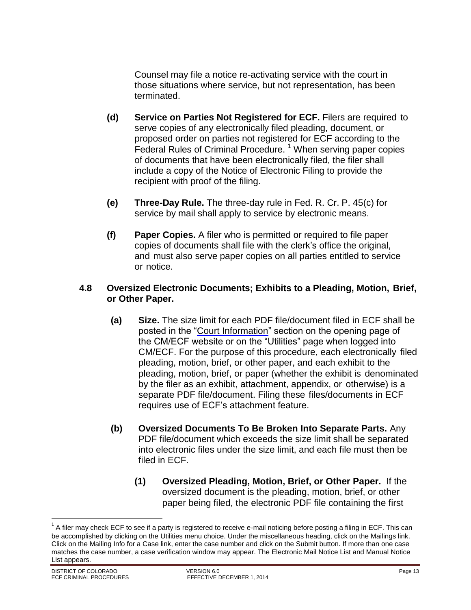Counsel may file a notice re-activating service with the court in those situations where service, but not representation, has been terminated.

- **(d) Service on Parties Not Registered for ECF.** Filers are required to serve copies of any electronically filed pleading, document, or proposed order on parties not registered for ECF according to the Federal Rules of Criminal Procedure.<sup>1</sup> When serving paper copies of documents that have been electronically filed, the filer shall include a copy of the Notice of Electronic Filing to provide the recipient with proof of the filing.
- **(e) Three-Day Rule.** The three-day rule in Fed. R. Cr. P. 45(c) for service by mail shall apply to service by electronic means.
- **(f) Paper Copies.** A filer who is permitted or required to file paper copies of documents shall file with the clerk's office the original, and must also serve paper copies on all parties entitled to service or notice.

#### <span id="page-12-0"></span>**4.8 Oversized Electronic Documents; Exhibits to a Pleading, Motion, Brief, or Other Paper.**

- **(a) Size.** The size limit for each PDF file/document filed in ECF shall be posted in the "Court Information" section on the opening page of the CM/ECF website or on the "Utilities" page when logged into CM/ECF. For the purpose of this procedure, each electronically filed pleading, motion, brief, or other paper, and each exhibit to the pleading, motion, brief, or paper (whether the exhibit is denominated by the filer as an exhibit, attachment, appendix, or otherwise) is a separate PDF file/document. Filing these files/documents in ECF requires use of ECF's attachment feature.
- **(b) Oversized Documents To Be Broken Into Separate Parts.** Any PDF file/document which exceeds the size limit shall be separated into electronic files under the size limit, and each file must then be filed in ECF.
	- **(1) Oversized Pleading, Motion, Brief, or Other Paper.** If the oversized document is the pleading, motion, brief, or other paper being filed, the electronic PDF file containing the first

 $\overline{a}$ 

 $^1$  A filer may check ECF to see if a party is registered to receive e-mail noticing before posting a filing in ECF. This can be accomplished by clicking on the Utilities menu choice. Under the miscellaneous heading, click on the Mailings link. Click on the Mailing Info for a Case link, enter the case number and click on the Submit button. If more than one case matches the case number, a case verification window may appear. The Electronic Mail Notice List and Manual Notice List appears.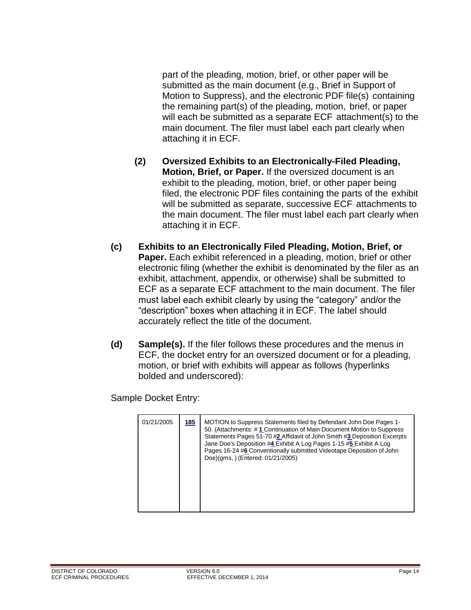part of the pleading, motion, brief, or other paper will be submitted as the main document (e.g., Brief in Support of Motion to Suppress), and the electronic PDF file(s) containing the remaining part(s) of the pleading, motion, brief, or paper will each be submitted as a separate ECF attachment(s) to the main document. The filer must label each part clearly when attaching it in ECF.

- **(2) Oversized Exhibits to an Electronically-Filed Pleading, Motion, Brief, or Paper.** If the oversized document is an exhibit to the pleading, motion, brief, or other paper being filed, the electronic PDF files containing the parts of the exhibit will be submitted as separate, successive ECF attachments to the main document. The filer must label each part clearly when attaching it in ECF.
- **(c) Exhibits to an Electronically Filed Pleading, Motion, Brief, or Paper.** Each exhibit referenced in a pleading, motion, brief or other electronic filing (whether the exhibit is denominated by the filer as an exhibit, attachment, appendix, or otherwise) shall be submitted to ECF as a separate ECF attachment to the main document. The filer must label each exhibit clearly by using the "category" and/or the "description" boxes when attaching it in ECF. The label should accurately reflect the title of the document.
- **(d) Sample(s).** If the filer follows these procedures and the menus in ECF, the docket entry for an oversized document or for a pleading, motion, or brief with exhibits will appear as follows (hyperlinks bolded and underscored):

Sample Docket Entry:

| 01/21/2005 | 185 | MOTION to Suppress Statements filed by Defendant John Doe Pages 1-<br>50. (Attachments: #1 Continuation of Main Document Motion to Suppress<br>Statements Pages 51-70 #2 Affidavit of John Smith #3 Deposition Excerpts<br>Jane Doe's Deposition #4 Exhibit A Log Pages 1-15 #5 Exhibit A Log<br>Pages 16-24 #6 Conventionally submitted Videotape Deposition of John<br>Doe)(gms, ) (Entered: 01/21/2005) |
|------------|-----|------------------------------------------------------------------------------------------------------------------------------------------------------------------------------------------------------------------------------------------------------------------------------------------------------------------------------------------------------------------------------------------------------------|
|            |     |                                                                                                                                                                                                                                                                                                                                                                                                            |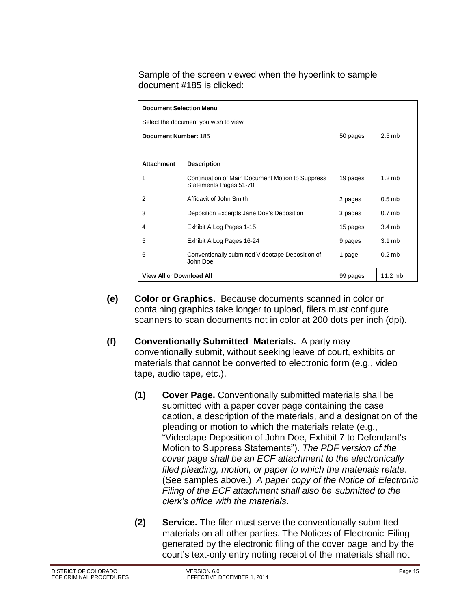Sample of the screen viewed when the hyperlink to sample document #185 is clicked:

| <b>Document Selection Menu</b>        |                                                                            |          |                   |  |  |  |  |  |
|---------------------------------------|----------------------------------------------------------------------------|----------|-------------------|--|--|--|--|--|
| Select the document you wish to view. |                                                                            |          |                   |  |  |  |  |  |
| Document Number: 185                  |                                                                            | 50 pages | $2.5$ mb          |  |  |  |  |  |
|                                       |                                                                            |          |                   |  |  |  |  |  |
| <b>Attachment</b>                     | <b>Description</b>                                                         |          |                   |  |  |  |  |  |
| 1                                     | Continuation of Main Document Motion to Suppress<br>Statements Pages 51-70 | 19 pages | $1.2 \text{ mb}$  |  |  |  |  |  |
| 2                                     | Affidavit of John Smith                                                    | 2 pages  | $0.5$ mb          |  |  |  |  |  |
| 3                                     | Deposition Excerpts Jane Doe's Deposition                                  | 3 pages  | 0.7 <sub>mb</sub> |  |  |  |  |  |
| 4                                     | Exhibit A Log Pages 1-15                                                   | 15 pages | 3.4mb             |  |  |  |  |  |
| 5                                     | Exhibit A Log Pages 16-24                                                  | 9 pages  | 3.1 <sub>mb</sub> |  |  |  |  |  |
| 6                                     | Conventionally submitted Videotape Deposition of<br>John Doe               | 1 page   | $0.2$ mb          |  |  |  |  |  |
| <b>View All or Download All</b>       |                                                                            | 99 pages | $11.2$ mb         |  |  |  |  |  |

- **(e) Color or Graphics.** Because documents scanned in color or containing graphics take longer to upload, filers must configure scanners to scan documents not in color at 200 dots per inch (dpi).
- **(f) Conventionally Submitted Materials.** A party may conventionally submit, without seeking leave of court, exhibits or materials that cannot be converted to electronic form (e.g., video tape, audio tape, etc.).
	- **(1) Cover Page.** Conventionally submitted materials shall be submitted with a paper cover page containing the case caption, a description of the materials, and a designation of the pleading or motion to which the materials relate (e.g., "Videotape Deposition of John Doe, Exhibit 7 to Defendant's Motion to Suppress Statements"). *The PDF version of the cover page shall be an ECF attachment to the electronically filed pleading, motion, or paper to which the materials relate*. (See samples above.) *A paper copy of the Notice of Electronic Filing of the ECF attachment shall also be submitted to the clerk's office with the materials*.
	- **(2) Service.** The filer must serve the conventionally submitted materials on all other parties. The Notices of Electronic Filing generated by the electronic filing of the cover page and by the court's text-only entry noting receipt of the materials shall not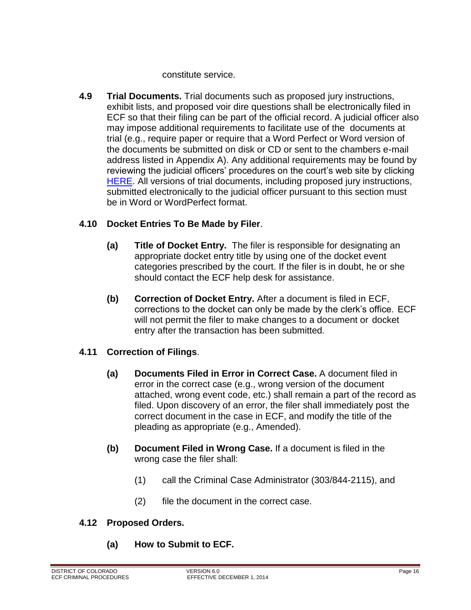constitute service.

<span id="page-15-0"></span>**4.9 Trial Documents.** Trial documents such as proposed jury instructions, exhibit lists, and proposed voir dire questions shall be electronically filed in ECF so that their filing can be part of the official record. A judicial officer also may impose additional requirements to facilitate use of the documents at trial (e.g., require paper or require that a Word Perfect or Word version of the documents be submitted on disk or CD or sent to the chambers e-mail address listed in Appendix A). Any additional requirements may be found by reviewing the judicial officers' procedures on the court's web site by clicking [HERE.](http://www.cod.uscourts.gov/JudicialOfficers.aspx) All versions of trial documents, including proposed jury instructions, submitted electronically to the judicial officer pursuant to this section must be in Word or WordPerfect format.

#### <span id="page-15-1"></span>**4.10 Docket Entries To Be Made by Filer**.

- **(a) Title of Docket Entry.** The filer is responsible for designating an appropriate docket entry title by using one of the docket event categories prescribed by the court. If the filer is in doubt, he or she should contact the ECF help desk for assistance.
- **(b) Correction of Docket Entry.** After a document is filed in ECF, corrections to the docket can only be made by the clerk's office. ECF will not permit the filer to make changes to a document or docket entry after the transaction has been submitted.

#### <span id="page-15-2"></span>**4.11 Correction of Filings**.

- **(a) Documents Filed in Error in Correct Case.** A document filed in error in the correct case (e.g., wrong version of the document attached, wrong event code, etc.) shall remain a part of the record as filed. Upon discovery of an error, the filer shall immediately post the correct document in the case in ECF, and modify the title of the pleading as appropriate (e.g., Amended).
- **(b) Document Filed in Wrong Case.** If a document is filed in the wrong case the filer shall:
	- (1) call the Criminal Case Administrator (303/844-2115), and
	- (2) file the document in the correct case.

#### <span id="page-15-3"></span>**4.12 Proposed Orders.**

**(a) How to Submit to ECF.**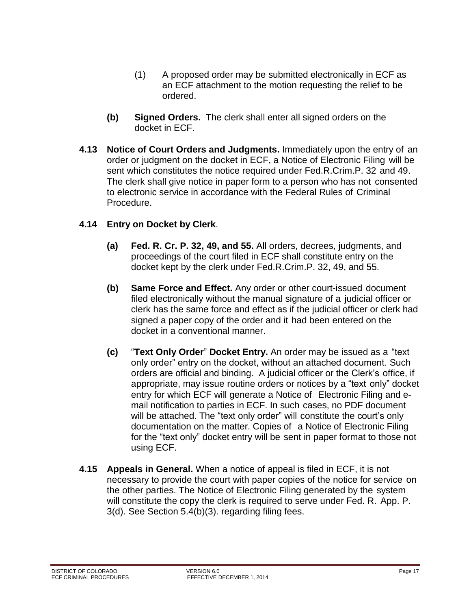- (1) A proposed order may be submitted electronically in ECF as an ECF attachment to the motion requesting the relief to be ordered.
- **(b) Signed Orders.** The clerk shall enter all signed orders on the docket in ECF.
- <span id="page-16-0"></span>**4.13 Notice of Court Orders and Judgments.** Immediately upon the entry of an order or judgment on the docket in ECF, a Notice of Electronic Filing will be sent which constitutes the notice required under Fed.R.Crim.P. 32 and 49. The clerk shall give notice in paper form to a person who has not consented to electronic service in accordance with the Federal Rules of Criminal Procedure.

#### <span id="page-16-1"></span>**4.14 Entry on Docket by Clerk**.

- **(a) Fed. R. Cr. P. 32, 49, and 55.** All orders, decrees, judgments, and proceedings of the court filed in ECF shall constitute entry on the docket kept by the clerk under Fed.R.Crim.P. 32, 49, and 55.
- **(b) Same Force and Effect.** Any order or other court-issued document filed electronically without the manual signature of a judicial officer or clerk has the same force and effect as if the judicial officer or clerk had signed a paper copy of the order and it had been entered on the docket in a conventional manner.
- **(c)** "**Text Only Order**" **Docket Entry.** An order may be issued as a "text only order" entry on the docket, without an attached document. Such orders are official and binding. A judicial officer or the Clerk's office, if appropriate, may issue routine orders or notices by a "text only" docket entry for which ECF will generate a Notice of Electronic Filing and email notification to parties in ECF. In such cases, no PDF document will be attached. The "text only order" will constitute the court's only documentation on the matter. Copies of a Notice of Electronic Filing for the "text only" docket entry will be sent in paper format to those not using ECF.
- <span id="page-16-2"></span>**4.15 Appeals in General.** When a notice of appeal is filed in ECF, it is not necessary to provide the court with paper copies of the notice for service on the other parties. The Notice of Electronic Filing generated by the system will constitute the copy the clerk is required to serve under Fed. R. App. P. 3(d). See Section 5.4(b)(3). regarding filing fees.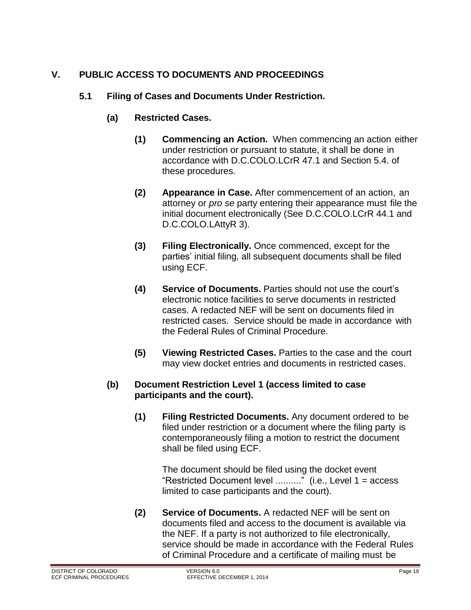### <span id="page-17-1"></span><span id="page-17-0"></span>**V. PUBLIC ACCESS TO DOCUMENTS AND PROCEEDINGS**

#### **5.1 Filing of Cases and Documents Under Restriction.**

- **(a) Restricted Cases.**
	- **(1) Commencing an Action.** When commencing an action either under restriction or pursuant to statute, it shall be done in accordance with D.C.COLO.LCrR 47.1 and Section 5.4. of these procedures.
	- **(2) Appearance in Case.** After commencement of an action, an attorney or *pro se* party entering their appearance must file the initial document electronically (See D.C.COLO.LCrR 44.1 and D.C.COLO.LAttyR 3).
	- **(3) Filing Electronically.** Once commenced, except for the parties' initial filing, all subsequent documents shall be filed using ECF.
	- **(4) Service of Documents.** Parties should not use the court's electronic notice facilities to serve documents in restricted cases. A redacted NEF will be sent on documents filed in restricted cases. Service should be made in accordance with the Federal Rules of Criminal Procedure.
	- **(5) Viewing Restricted Cases.** Parties to the case and the court may view docket entries and documents in restricted cases.

#### **(b) Document Restriction Level 1 (access limited to case participants and the court).**

**(1) Filing Restricted Documents.** Any document ordered to be filed under restriction or a document where the filing party is contemporaneously filing a motion to restrict the document shall be filed using ECF.

The document should be filed using the docket event "Restricted Document level .........." (i.e., Level  $1 = \text{access}$ limited to case participants and the court).

**(2) Service of Documents.** A redacted NEF will be sent on documents filed and access to the document is available via the NEF. If a party is not authorized to file electronically, service should be made in accordance with the Federal Rules of Criminal Procedure and a certificate of mailing must be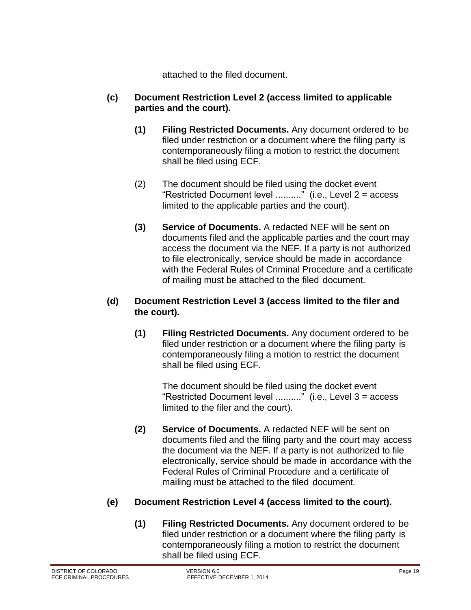attached to the filed document.

#### **(c) Document Restriction Level 2 (access limited to applicable parties and the court).**

- **(1) Filing Restricted Documents.** Any document ordered to be filed under restriction or a document where the filing party is contemporaneously filing a motion to restrict the document shall be filed using ECF.
- (2) The document should be filed using the docket event "Restricted Document level .........." (i.e., Level  $2 =$  access limited to the applicable parties and the court).
- **(3) Service of Documents.** A redacted NEF will be sent on documents filed and the applicable parties and the court may access the document via the NEF. If a party is not authorized to file electronically, service should be made in accordance with the Federal Rules of Criminal Procedure and a certificate of mailing must be attached to the filed document.

#### **(d) Document Restriction Level 3 (access limited to the filer and the court).**

**(1) Filing Restricted Documents.** Any document ordered to be filed under restriction or a document where the filing party is contemporaneously filing a motion to restrict the document shall be filed using ECF.

The document should be filed using the docket event "Restricted Document level .........." (i.e., Level  $3 =$  access limited to the filer and the court).

**(2) Service of Documents.** A redacted NEF will be sent on documents filed and the filing party and the court may access the document via the NEF. If a party is not authorized to file electronically, service should be made in accordance with the Federal Rules of Criminal Procedure and a certificate of mailing must be attached to the filed document.

#### **(e) Document Restriction Level 4 (access limited to the court).**

**(1) Filing Restricted Documents.** Any document ordered to be filed under restriction or a document where the filing party is contemporaneously filing a motion to restrict the document shall be filed using ECF.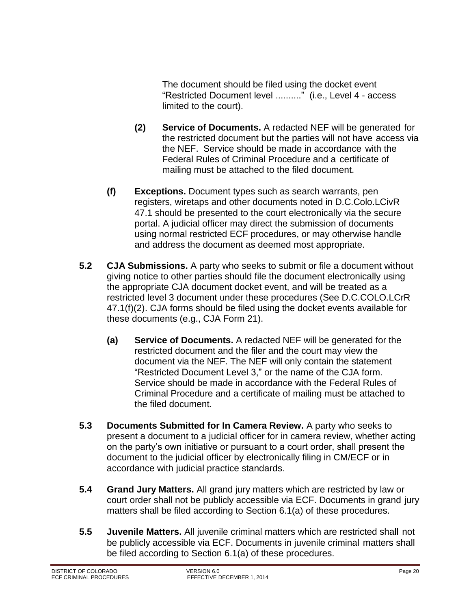The document should be filed using the docket event "Restricted Document level .........." (i.e., Level 4 - access limited to the court).

- **(2) Service of Documents.** A redacted NEF will be generated for the restricted document but the parties will not have access via the NEF. Service should be made in accordance with the Federal Rules of Criminal Procedure and a certificate of mailing must be attached to the filed document.
- **(f) Exceptions.** Document types such as search warrants, pen registers, wiretaps and other documents noted in D.C.Colo.LCivR 47.1 should be presented to the court electronically via the secure portal. A judicial officer may direct the submission of documents using normal restricted ECF procedures, or may otherwise handle and address the document as deemed most appropriate.
- <span id="page-19-0"></span>**5.2 CJA Submissions.** A party who seeks to submit or file a document without giving notice to other parties should file the document electronically using the appropriate CJA document docket event, and will be treated as a restricted level 3 document under these procedures (See D.C.COLO.LCrR 47.1(f)(2). CJA forms should be filed using the docket events available for these documents (e.g., CJA Form 21).
	- **(a) Service of Documents.** A redacted NEF will be generated for the restricted document and the filer and the court may view the document via the NEF. The NEF will only contain the statement "Restricted Document Level 3," or the name of the CJA form. Service should be made in accordance with the Federal Rules of Criminal Procedure and a certificate of mailing must be attached to the filed document.
- <span id="page-19-1"></span>**5.3 Documents Submitted for In Camera Review.** A party who seeks to present a document to a judicial officer for in camera review, whether acting on the party's own initiative or pursuant to a court order, shall present the document to the judicial officer by electronically filing in CM/ECF or in accordance with judicial practice standards.
- <span id="page-19-2"></span>**5.4 Grand Jury Matters.** All grand jury matters which are restricted by law or court order shall not be publicly accessible via ECF. Documents in grand jury matters shall be filed according to Section 6.1(a) of these procedures.
- <span id="page-19-3"></span>**5.5 Juvenile Matters.** All juvenile criminal matters which are restricted shall not be publicly accessible via ECF. Documents in juvenile criminal matters shall be filed according to Section 6.1(a) of these procedures.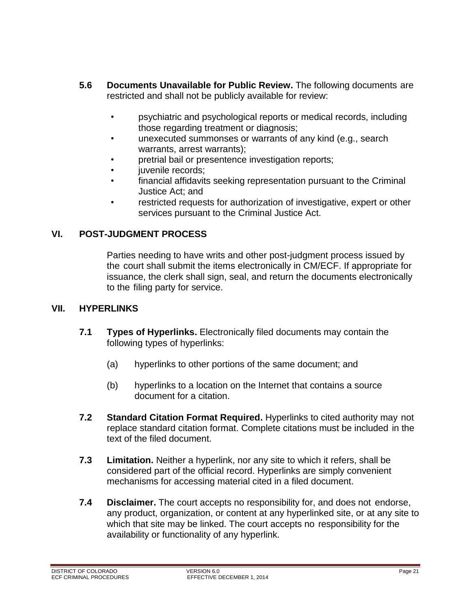- <span id="page-20-0"></span>**5.6 Documents Unavailable for Public Review.** The following documents are restricted and shall not be publicly available for review:
	- psychiatric and psychological reports or medical records, including those regarding treatment or diagnosis;
	- unexecuted summonses or warrants of any kind (e.g., search warrants, arrest warrants);
	- pretrial bail or presentence investigation reports;
	- iuvenile records:
	- financial affidavits seeking representation pursuant to the Criminal Justice Act; and
	- restricted requests for authorization of investigative, expert or other services pursuant to the Criminal Justice Act.

#### <span id="page-20-1"></span>**VI. POST-JUDGMENT PROCESS**

Parties needing to have writs and other post-judgment process issued by the court shall submit the items electronically in CM/ECF. If appropriate for issuance, the clerk shall sign, seal, and return the documents electronically to the filing party for service.

#### <span id="page-20-3"></span><span id="page-20-2"></span>**VII. HYPERLINKS**

- **7.1 Types of Hyperlinks.** Electronically filed documents may contain the following types of hyperlinks:
	- (a) hyperlinks to other portions of the same document; and
	- (b) hyperlinks to a location on the Internet that contains a source document for a citation.
- <span id="page-20-4"></span>**7.2 Standard Citation Format Required.** Hyperlinks to cited authority may not replace standard citation format. Complete citations must be included in the text of the filed document.
- <span id="page-20-5"></span>**7.3 Limitation.** Neither a hyperlink, nor any site to which it refers, shall be considered part of the official record. Hyperlinks are simply convenient mechanisms for accessing material cited in a filed document.
- <span id="page-20-6"></span>**7.4 Disclaimer.** The court accepts no responsibility for, and does not endorse, any product, organization, or content at any hyperlinked site, or at any site to which that site may be linked. The court accepts no responsibility for the availability or functionality of any hyperlink.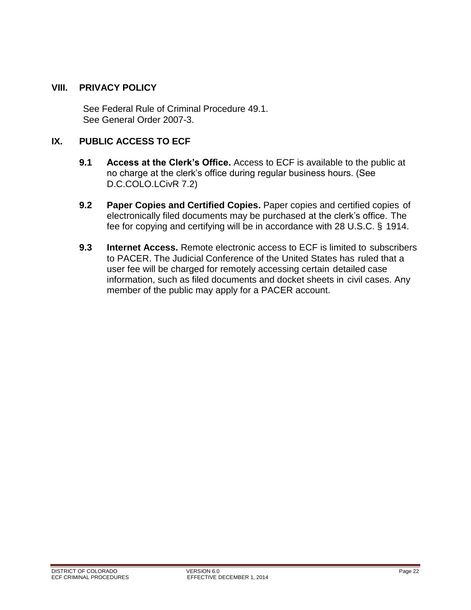#### <span id="page-21-0"></span>**VIII. PRIVACY POLICY**

See Federal Rule of Criminal Procedure 49.1. See General Order 2007-3.

#### <span id="page-21-2"></span><span id="page-21-1"></span>**IX. PUBLIC ACCESS TO ECF**

- **9.1 Access at the Clerk's Office.** Access to ECF is available to the public at no charge at the clerk's office during regular business hours. (See D.C.COLO.LCivR 7.2)
- <span id="page-21-3"></span>**9.2 Paper Copies and Certified Copies.** Paper copies and certified copies of electronically filed documents may be purchased at the clerk's office. The fee for copying and certifying will be in accordance with 28 U.S.C. § 1914.
- <span id="page-21-4"></span>**9.3 Internet Access.** Remote electronic access to ECF is limited to subscribers to PACER. The Judicial Conference of the United States has ruled that a user fee will be charged for remotely accessing certain detailed case information, such as filed documents and docket sheets in civil cases. Any member of the public may apply for a PACER account.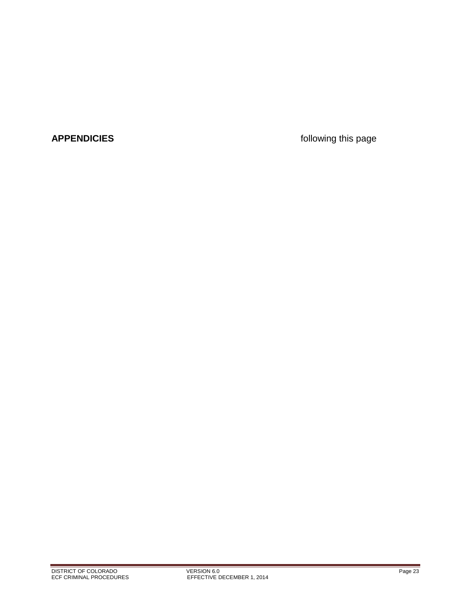**APPENDICIES** *APPENDICIES CONDICIES*